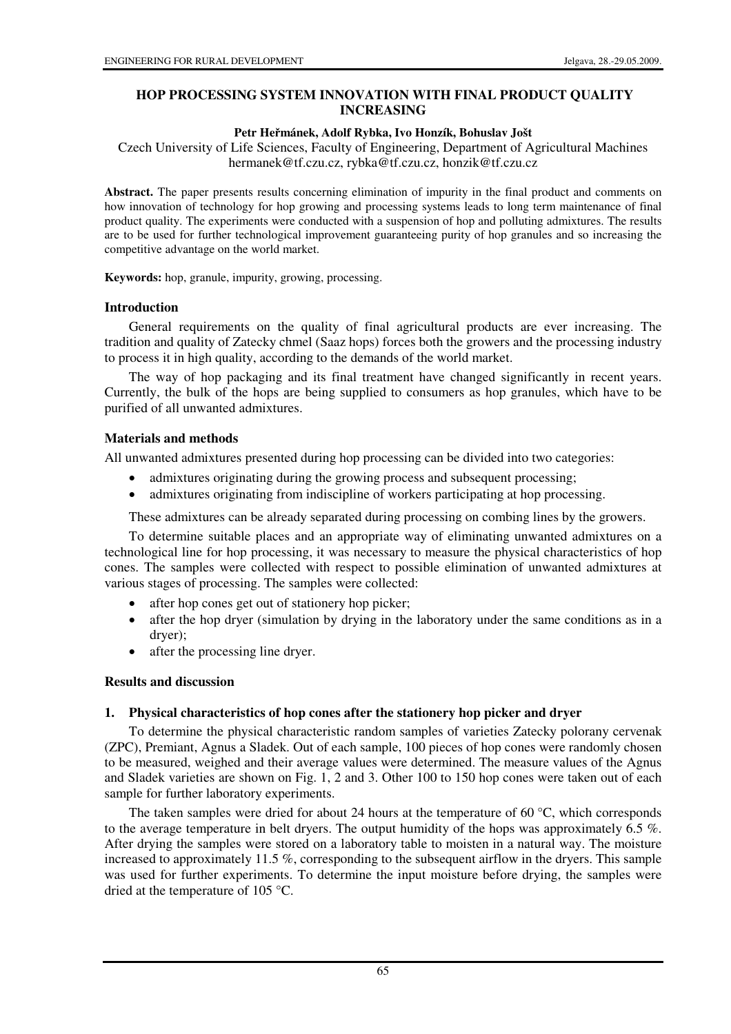# **HOP PROCESSING SYSTEM INNOVATION WITH FINAL PRODUCT QUALITY INCREASING**

#### **Petr He**ř**mánek, Adolf Rybka, Ivo Honzík, Bohuslav Jošt**

Czech University of Life Sciences, Faculty of Engineering, Department of Agricultural Machines hermanek@tf.czu.cz, rybka@tf.czu.cz, honzik@tf.czu.cz

**Abstract.** The paper presents results concerning elimination of impurity in the final product and comments on how innovation of technology for hop growing and processing systems leads to long term maintenance of final product quality. The experiments were conducted with a suspension of hop and polluting admixtures. The results are to be used for further technological improvement guaranteeing purity of hop granules and so increasing the competitive advantage on the world market.

**Keywords:** hop, granule, impurity, growing, processing.

#### **Introduction**

General requirements on the quality of final agricultural products are ever increasing. The tradition and quality of Zatecky chmel (Saaz hops) forces both the growers and the processing industry to process it in high quality, according to the demands of the world market.

The way of hop packaging and its final treatment have changed significantly in recent years. Currently, the bulk of the hops are being supplied to consumers as hop granules, which have to be purified of all unwanted admixtures.

### **Materials and methods**

All unwanted admixtures presented during hop processing can be divided into two categories:

- admixtures originating during the growing process and subsequent processing;
- admixtures originating from indiscipline of workers participating at hop processing.

These admixtures can be already separated during processing on combing lines by the growers.

To determine suitable places and an appropriate way of eliminating unwanted admixtures on a technological line for hop processing, it was necessary to measure the physical characteristics of hop cones. The samples were collected with respect to possible elimination of unwanted admixtures at various stages of processing. The samples were collected:

- after hop cones get out of stationery hop picker;
- after the hop dryer (simulation by drying in the laboratory under the same conditions as in a dryer);
- after the processing line dryer.

### **Results and discussion**

### **1. Physical characteristics of hop cones after the stationery hop picker and dryer**

To determine the physical characteristic random samples of varieties Zatecky polorany cervenak (ZPC), Premiant, Agnus a Sladek. Out of each sample, 100 pieces of hop cones were randomly chosen to be measured, weighed and their average values were determined. The measure values of the Agnus and Sladek varieties are shown on Fig. 1, 2 and 3. Other 100 to 150 hop cones were taken out of each sample for further laboratory experiments.

The taken samples were dried for about 24 hours at the temperature of 60 °C, which corresponds to the average temperature in belt dryers. The output humidity of the hops was approximately  $6.5\%$ . After drying the samples were stored on a laboratory table to moisten in a natural way. The moisture increased to approximately 11.5 %, corresponding to the subsequent airflow in the dryers. This sample was used for further experiments. To determine the input moisture before drying, the samples were dried at the temperature of 105 °C.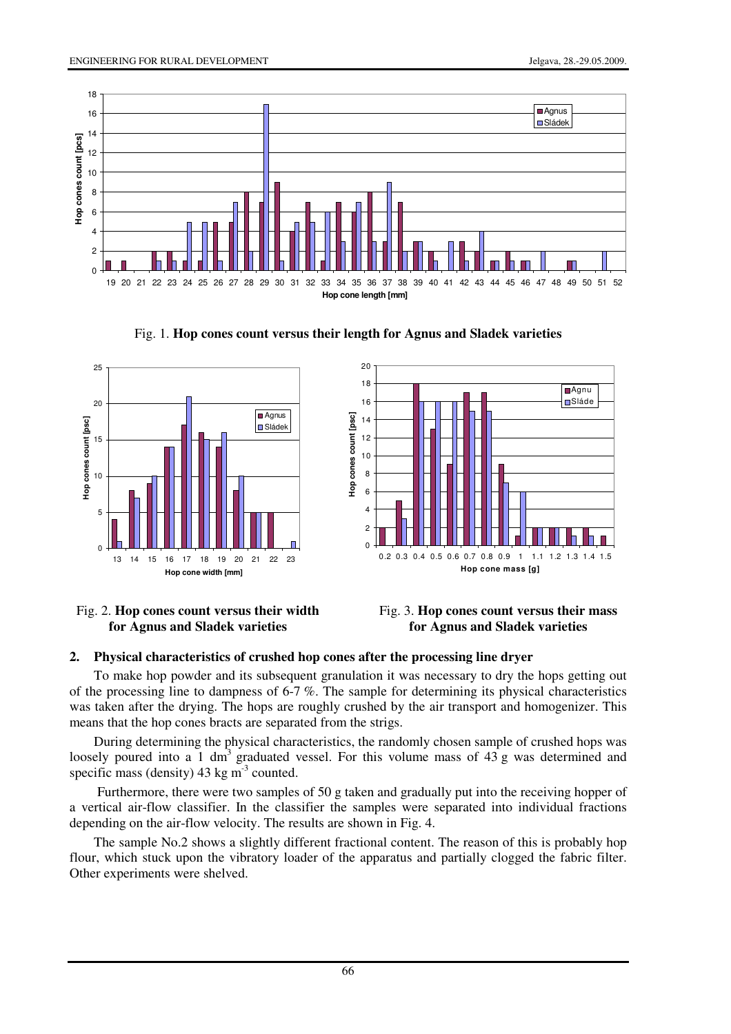

Fig. 1. **Hop cones count versus their length for Agnus and Sladek varieties**







# Fig. 3. **Hop cones count versus their mass for Agnus and Sladek varieties**

# **2. Physical characteristics of crushed hop cones after the processing line dryer**

To make hop powder and its subsequent granulation it was necessary to dry the hops getting out of the processing line to dampness of 6-7 %. The sample for determining its physical characteristics was taken after the drying. The hops are roughly crushed by the air transport and homogenizer. This means that the hop cones bracts are separated from the strigs.

During determining the physical characteristics, the randomly chosen sample of crushed hops was loosely poured into a 1 dm<sup>3</sup> graduated vessel. For this volume mass of 43 g was determined and specific mass (density)  $43 \text{ kg m}^3$  counted.

 Furthermore, there were two samples of 50 g taken and gradually put into the receiving hopper of a vertical air-flow classifier. In the classifier the samples were separated into individual fractions depending on the air-flow velocity. The results are shown in Fig. 4.

The sample No.2 shows a slightly different fractional content. The reason of this is probably hop flour, which stuck upon the vibratory loader of the apparatus and partially clogged the fabric filter. Other experiments were shelved.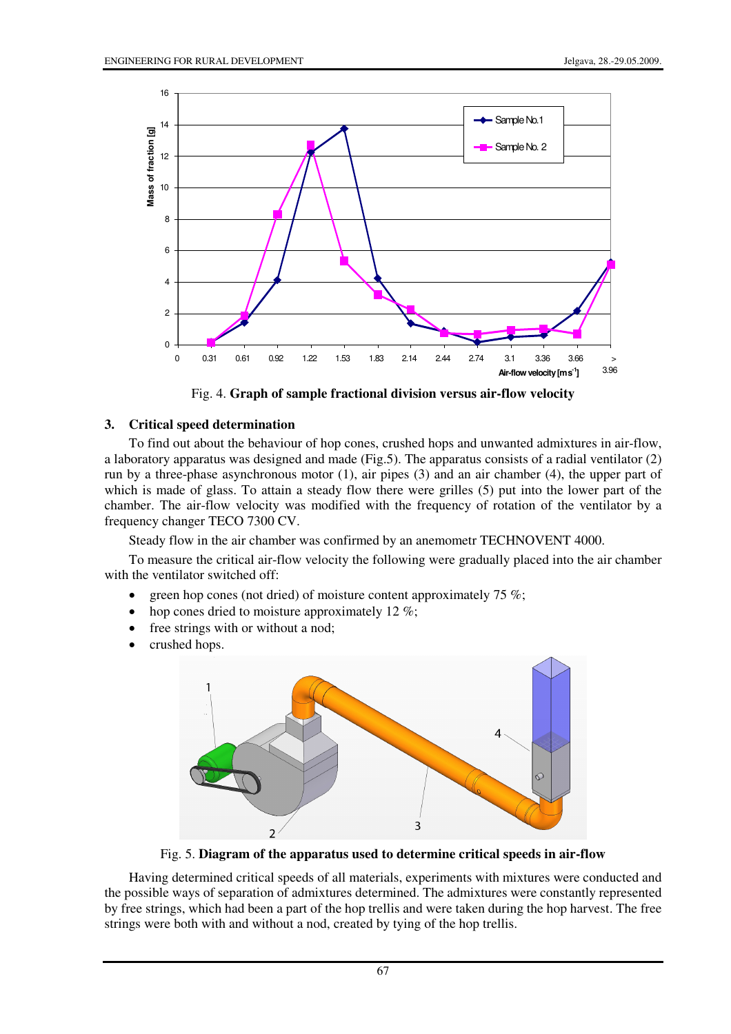

Fig. 4. **Graph of sample fractional division versus air-flow velocity**

# **3. Critical speed determination**

To find out about the behaviour of hop cones, crushed hops and unwanted admixtures in air-flow, a laboratory apparatus was designed and made (Fig.5). The apparatus consists of a radial ventilator (2) run by a three-phase asynchronous motor (1), air pipes (3) and an air chamber (4), the upper part of which is made of glass. To attain a steady flow there were grilles (5) put into the lower part of the chamber. The air-flow velocity was modified with the frequency of rotation of the ventilator by a frequency changer TECO 7300 CV.

Steady flow in the air chamber was confirmed by an anemometr TECHNOVENT 4000.

To measure the critical air-flow velocity the following were gradually placed into the air chamber with the ventilator switched off:

- green hop cones (not dried) of moisture content approximately  $75\%$ ;
- hop cones dried to moisture approximately 12  $\%$ ;
- free strings with or without a nod;
- crushed hops.



Fig. 5. **Diagram of the apparatus used to determine critical speeds in air-flow** 

Having determined critical speeds of all materials, experiments with mixtures were conducted and the possible ways of separation of admixtures determined. The admixtures were constantly represented by free strings, which had been a part of the hop trellis and were taken during the hop harvest. The free strings were both with and without a nod, created by tying of the hop trellis.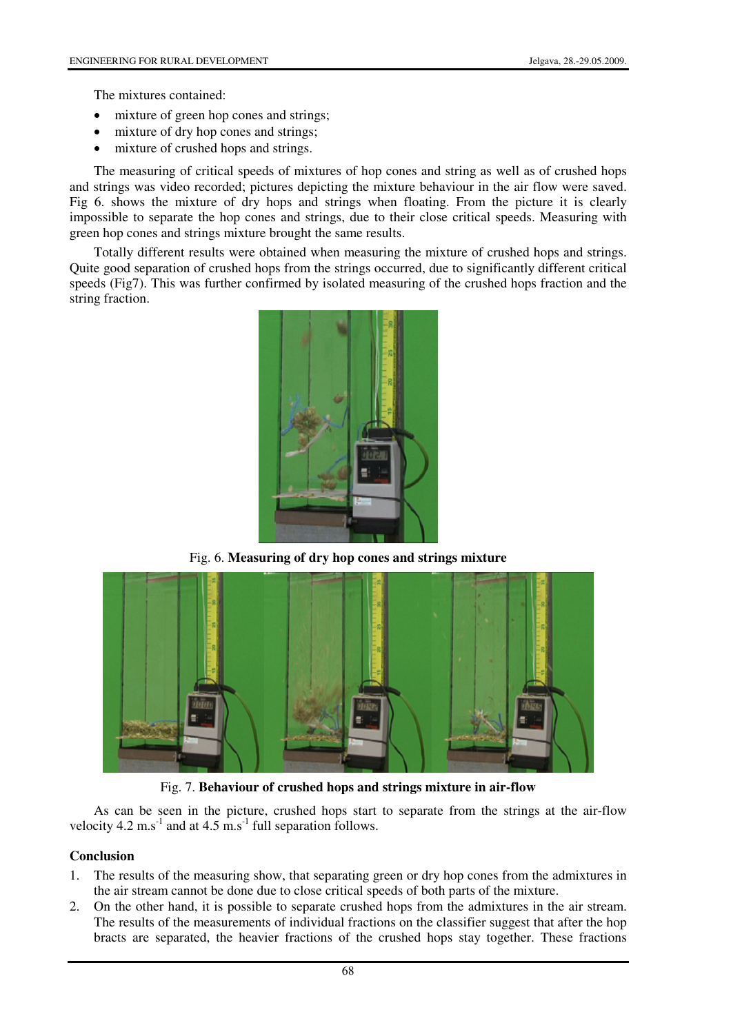The mixtures contained:

- mixture of green hop cones and strings;
- mixture of dry hop cones and strings;
- mixture of crushed hops and strings.

The measuring of critical speeds of mixtures of hop cones and string as well as of crushed hops and strings was video recorded; pictures depicting the mixture behaviour in the air flow were saved. Fig 6. shows the mixture of dry hops and strings when floating. From the picture it is clearly impossible to separate the hop cones and strings, due to their close critical speeds. Measuring with green hop cones and strings mixture brought the same results.

Totally different results were obtained when measuring the mixture of crushed hops and strings. Quite good separation of crushed hops from the strings occurred, due to significantly different critical speeds (Fig7). This was further confirmed by isolated measuring of the crushed hops fraction and the string fraction.



Fig. 6. **Measuring of dry hop cones and strings mixture**



Fig. 7. **Behaviour of crushed hops and strings mixture in air-flow**

As can be seen in the picture, crushed hops start to separate from the strings at the air-flow velocity 4.2 m.s<sup>-1</sup> and at 4.5 m.s<sup>-1</sup> full separation follows.

## **Conclusion**

- 1. The results of the measuring show, that separating green or dry hop cones from the admixtures in the air stream cannot be done due to close critical speeds of both parts of the mixture.
- 2. On the other hand, it is possible to separate crushed hops from the admixtures in the air stream. The results of the measurements of individual fractions on the classifier suggest that after the hop bracts are separated, the heavier fractions of the crushed hops stay together. These fractions